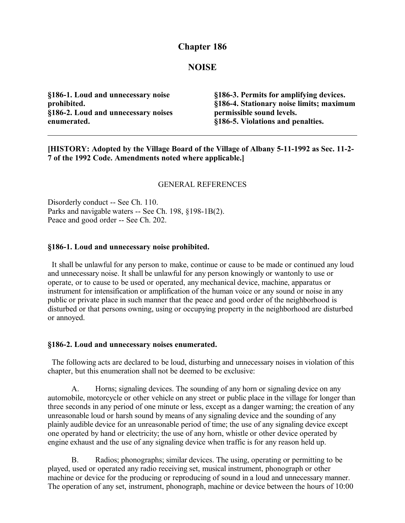# **Chapter 186**

### **NOISE**

**§186-1. Loud and unnecessary noise prohibited. §186-2. Loud and unnecessary noises enumerated.**

**§186-3. Permits for amplifying devices. §186-4. Stationary noise limits; maximum permissible sound levels. §186-5. Violations and penalties.**

**[HISTORY: Adopted by the Village Board of the Village of Albany 5-11-1992 as Sec. 11-2- 7 of the 1992 Code. Amendments noted where applicable.]**

#### GENERAL REFERENCES

Disorderly conduct -- See Ch. 110. Parks and navigable waters -- See Ch. 198, §198-1B(2). Peace and good order -- See Ch. 202.

#### **§186-1. Loud and unnecessary noise prohibited.**

 It shall be unlawful for any person to make, continue or cause to be made or continued any loud and unnecessary noise. It shall be unlawful for any person knowingly or wantonly to use or operate, or to cause to be used or operated, any mechanical device, machine, apparatus or instrument for intensification or amplification of the human voice or any sound or noise in any public or private place in such manner that the peace and good order of the neighborhood is disturbed or that persons owning, using or occupying property in the neighborhood are disturbed or annoyed.

#### **§186-2. Loud and unnecessary noises enumerated.**

 The following acts are declared to be loud, disturbing and unnecessary noises in violation of this chapter, but this enumeration shall not be deemed to be exclusive:

A. Horns; signaling devices. The sounding of any horn or signaling device on any automobile, motorcycle or other vehicle on any street or public place in the village for longer than three seconds in any period of one minute or less, except as a danger warning; the creation of any unreasonable loud or harsh sound by means of any signaling device and the sounding of any plainly audible device for an unreasonable period of time; the use of any signaling device except one operated by hand or electricity; the use of any horn, whistle or other device operated by engine exhaust and the use of any signaling device when traffic is for any reason held up.

B. Radios; phonographs; similar devices. The using, operating or permitting to be played, used or operated any radio receiving set, musical instrument, phonograph or other machine or device for the producing or reproducing of sound in a loud and unnecessary manner. The operation of any set, instrument, phonograph, machine or device between the hours of 10:00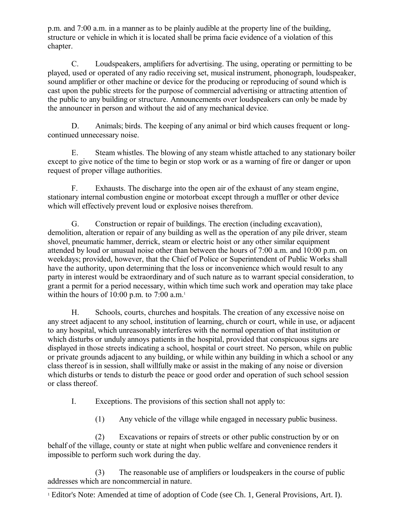p.m. and 7:00 a.m. in a manner as to be plainly audible at the property line of the building, structure or vehicle in which it is located shall be prima facie evidence of a violation of this chapter.

C. Loudspeakers, amplifiers for advertising. The using, operating or permitting to be played, used or operated of any radio receiving set, musical instrument, phonograph, loudspeaker, sound amplifier or other machine or device for the producing or reproducing of sound which is cast upon the public streets for the purpose of commercial advertising or attracting attention of the public to any building or structure. Announcements over loudspeakers can only be made by the announcer in person and without the aid of any mechanical device.

D. Animals; birds. The keeping of any animal or bird which causes frequent or longcontinued unnecessary noise.

E. Steam whistles. The blowing of any steam whistle attached to any stationary boiler except to give notice of the time to begin or stop work or as a warning of fire or danger or upon request of proper village authorities.

F. Exhausts. The discharge into the open air of the exhaust of any steam engine, stationary internal combustion engine or motorboat except through a muffler or other device which will effectively prevent loud or explosive noises therefrom.

G. Construction or repair of buildings. The erection (including excavation), demolition, alteration or repair of any building as well as the operation of any pile driver, steam shovel, pneumatic hammer, derrick, steam or electric hoist or any other similar equipment attended by loud or unusual noise other than between the hours of 7:00 a.m. and 10:00 p.m. on weekdays; provided, however, that the Chief of Police or Superintendent of Public Works shall have the authority, upon determining that the loss or inconvenience which would result to any party in interest would be extraordinary and of such nature as to warrant special consideration, to grant a permit for a period necessary, within which time such work and operation may take place within the hours of [1](#page-1-0)0:00 p.m. to  $7:00$  a.m.<sup>1</sup>

H. Schools, courts, churches and hospitals. The creation of any excessive noise on any street adjacent to any school, institution of learning, church or court, while in use, or adjacent to any hospital, which unreasonably interferes with the normal operation of that institution or which disturbs or unduly annoys patients in the hospital, provided that conspicuous signs are displayed in those streets indicating a school, hospital or court street. No person, while on public or private grounds adjacent to any building, or while within any building in which a school or any class thereof is in session, shall willfully make or assist in the making of any noise or diversion which disturbs or tends to disturb the peace or good order and operation of such school session or class thereof.

I. Exceptions. The provisions of this section shall not apply to:

(1) Any vehicle of the village while engaged in necessary public business.

(2) Excavations or repairs of streets or other public construction by or on behalf of the village, county or state at night when public welfare and convenience renders it impossible to perform such work during the day.

(3) The reasonable use of amplifiers or loudspeakers in the course of public addresses which are noncommercial in nature.

<span id="page-1-0"></span><sup>&</sup>lt;sup>1</sup> Editor's Note: Amended at time of adoption of Code (see Ch. 1, General Provisions, Art. I).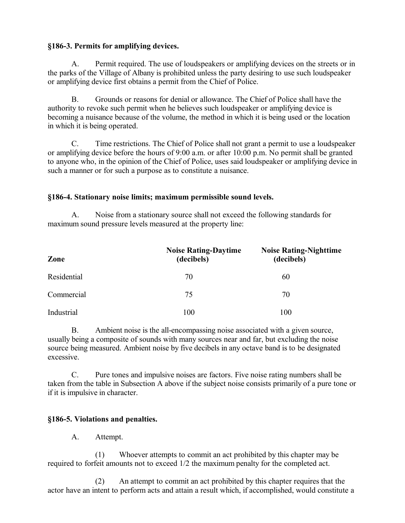## **§186-3. Permits for amplifying devices.**

A. Permit required. The use of loudspeakers or amplifying devices on the streets or in the parks of the Village of Albany is prohibited unless the party desiring to use such loudspeaker or amplifying device first obtains a permit from the Chief of Police.

B. Grounds or reasons for denial or allowance. The Chief of Police shall have the authority to revoke such permit when he believes such loudspeaker or amplifying device is becoming a nuisance because of the volume, the method in which it is being used or the location in which it is being operated.

C. Time restrictions. The Chief of Police shall not grant a permit to use a loudspeaker or amplifying device before the hours of 9:00 a.m. or after 10:00 p.m. No permit shall be granted to anyone who, in the opinion of the Chief of Police, uses said loudspeaker or amplifying device in such a manner or for such a purpose as to constitute a nuisance.

### **§186-4. Stationary noise limits; maximum permissible sound levels.**

A. Noise from a stationary source shall not exceed the following standards for maximum sound pressure levels measured at the property line:

| Zone        | <b>Noise Rating-Daytime</b><br>(decibels) | <b>Noise Rating-Nighttime</b><br>(decibels) |
|-------------|-------------------------------------------|---------------------------------------------|
| Residential | 70                                        | 60                                          |
| Commercial  | 75                                        | 70                                          |
| Industrial  | 100                                       | 100                                         |

B. Ambient noise is the all-encompassing noise associated with a given source, usually being a composite of sounds with many sources near and far, but excluding the noise source being measured. Ambient noise by five decibels in any octave band is to be designated excessive.

C. Pure tones and impulsive noises are factors. Five noise rating numbers shall be taken from the table in Subsection A above if the subject noise consists primarily of a pure tone or if it is impulsive in character.

## **§186-5. Violations and penalties.**

A. Attempt.

(1) Whoever attempts to commit an act prohibited by this chapter may be required to forfeit amounts not to exceed 1/2 the maximum penalty for the completed act.

(2) An attempt to commit an act prohibited by this chapter requires that the actor have an intent to perform acts and attain a result which, if accomplished, would constitute a